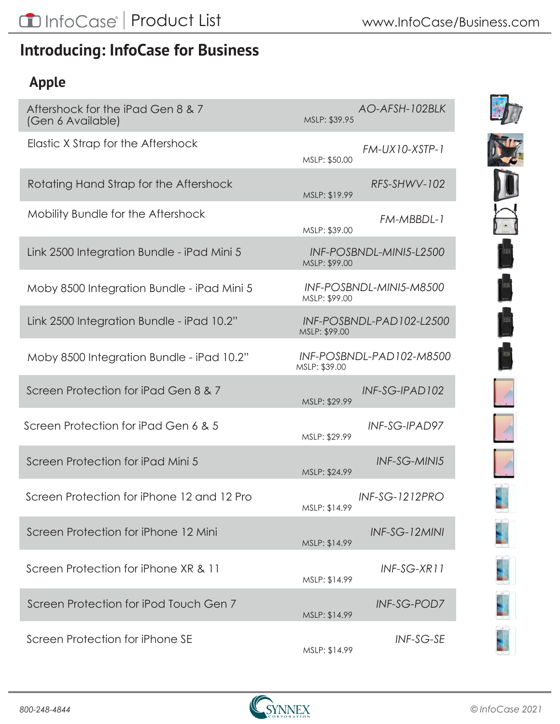## **Introducing: InfoCase for Business**

### **Apple**

| Aftershock for the iPad Gen 8 & 7<br>(Gen 6 Available) | AO-AFSH-102BLK<br>MSLP: \$39.95            |
|--------------------------------------------------------|--------------------------------------------|
| Elastic X Strap for the Aftershock                     | FM-UX10-XSTP-1<br>MSLP: \$50.00            |
| Rotating Hand Strap for the Aftershock                 | RFS-SHWV-102<br>MSLP: \$19.99              |
| Mobility Bundle for the Aftershock                     | FM-MBBDL-1<br>MSLP: \$39.00                |
| Link 2500 Integration Bundle - iPad Mini 5             | INF-POSBNDL-MINI5-L2500<br>MSLP: \$99.00   |
| Moby 8500 Integration Bundle - iPad Mini 5             | INF-POSBNDL-MINI5-M8500<br>MSLP: \$99.00   |
| Link 2500 Integration Bundle - iPad 10.2"              | INF-POSBNDL-PAD102-L2500<br>MSLP: \$99.00  |
| Moby 8500 Integration Bundle - iPad 10.2"              | INF-POSBNDL-PAD 102-M8500<br>MSLP: \$39.00 |
| Screen Protection for iPad Gen 8 & 7                   | INF-SG-IPAD102<br>MSLP: \$29.99            |
| Screen Protection for iPad Gen 6 & 5                   | INF-SG-IPAD97<br>MSLP: \$29.99             |
| Screen Protection for iPad Mini 5                      | INF-SG-MINI5<br>MSLP: \$24.99              |
| Screen Protection for iPhone 12 and 12 Pro             | <b>INF-SG-1212PRO</b><br>MSLP: \$14.99     |
| Screen Protection for iPhone 12 Mini                   | INF-SG-12MINI<br>MSLP: \$14.99             |
| Screen Protection for iPhone XR & 11                   | INF-SG-XR11<br>MSLP: \$14.99               |
| Screen Protection for iPod Touch Gen 7                 | <b>INF-SG-POD7</b><br>MSLP: \$14.99        |
| Screen Protection for iPhone SE                        | <b>INF-SG-SE</b><br>MSLP: \$14.99          |

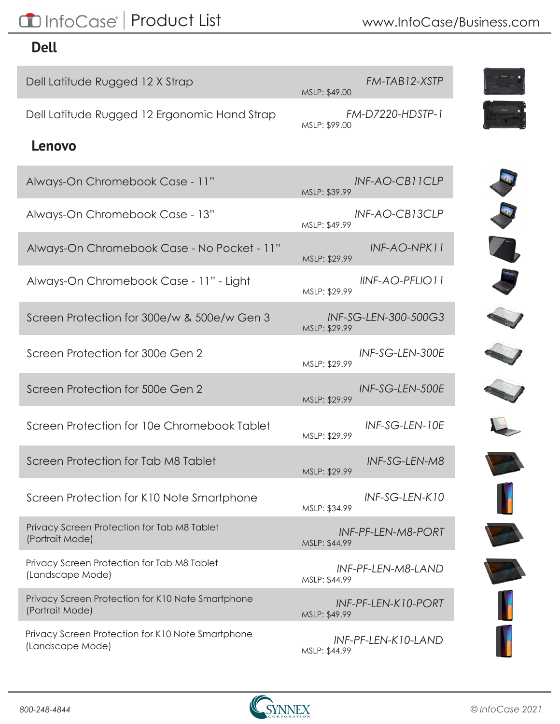# CD InfoCase<sup>®</sup> | Product List

#### **Dell**

| Dell Latitude Rugged 12 X Strap                                       | FM-TAB12-XSTP<br>MSLP: \$49.00           |
|-----------------------------------------------------------------------|------------------------------------------|
| Dell Latitude Rugged 12 Ergonomic Hand Strap                          | <b>FM-D7220-HDSTP-1</b><br>MSLP: \$99.00 |
| Lenovo                                                                |                                          |
| Always-On Chromebook Case - 11"                                       | INF-AO-CB11CLP<br>MSLP: \$39.99          |
| Always-On Chromebook Case - 13"                                       | INF-AO-CB13CLP<br>MSLP: \$49.99          |
| Always-On Chromebook Case - No Pocket - 11"                           | INF-AO-NPK11<br>MSLP: \$29.99            |
| Always-On Chromebook Case - 11" - Light                               | IINF-AO-PFLIO 11<br>MSLP: \$29.99        |
| Screen Protection for 300e/w & 500e/w Gen 3                           | INF-SG-LEN-300-500G3<br>MSLP: \$29.99    |
| Screen Protection for 300e Gen 2                                      | INF-SG-LEN-300E<br>MSLP: \$29.99         |
| Screen Protection for 500e Gen 2                                      | INF-SG-LEN-500E<br>MSLP: \$29.99         |
| Screen Protection for 10e Chromebook Tablet                           | INF-SG-LEN-10E<br>MSLP: \$29.99          |
| Screen Protection for Tab M8 Tablet                                   | INF-SG-LEN-M8<br>MSLP: \$29.99           |
| Screen Protection for K10 Note Smartphone                             | INF-SG-LEN-K10<br>MSLP: \$34.99          |
| Privacy Screen Protection for Tab M8 Tablet<br>(Portrait Mode)        | INF-PF-LEN-M8-PORT<br>MSLP: \$44.99      |
| Privacy Screen Protection for Tab M8 Tablet<br>(Landscape Mode)       | INF-PF-LEN-M8-LAND<br>MSLP: \$44.99      |
| Privacy Screen Protection for K10 Note Smartphone<br>(Portrait Mode)  | INF-PF-LEN-K10-PORT<br>MSLP: \$49.99     |
| Privacy Screen Protection for K10 Note Smartphone<br>(Landscape Mode) | INF-PF-LEN-K10-LAND<br>MSLP: \$44.99     |